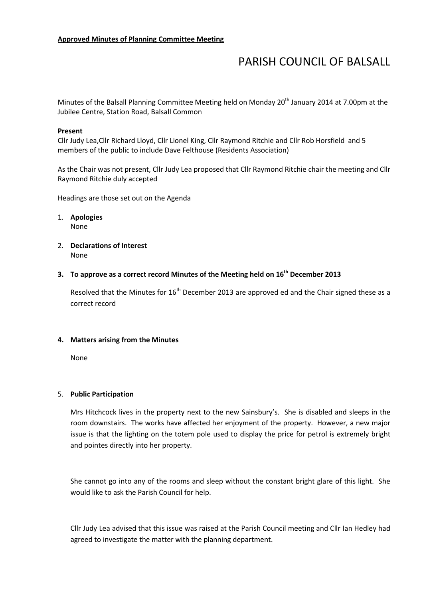# PARISH COUNCIL OF BALSALL

Minutes of the Balsall Planning Committee Meeting held on Monday 20<sup>th</sup> January 2014 at 7.00pm at the Jubilee Centre, Station Road, Balsall Common

#### Present

Cllr Judy Lea,Cllr Richard Lloyd, Cllr Lionel King, Cllr Raymond Ritchie and Cllr Rob Horsfield and 5 members of the public to include Dave Felthouse (Residents Association)

As the Chair was not present, Cllr Judy Lea proposed that Cllr Raymond Ritchie chair the meeting and Cllr Raymond Ritchie duly accepted

Headings are those set out on the Agenda

1. Apologies None

2. Declarations of Interest None

## 3. To approve as a correct record Minutes of the Meeting held on  $16<sup>th</sup>$  December 2013

Resolved that the Minutes for  $16<sup>th</sup>$  December 2013 are approved ed and the Chair signed these as a correct record

#### 4. Matters arising from the Minutes

None

#### 5. Public Participation

Mrs Hitchcock lives in the property next to the new Sainsbury's. She is disabled and sleeps in the room downstairs. The works have affected her enjoyment of the property. However, a new major issue is that the lighting on the totem pole used to display the price for petrol is extremely bright and pointes directly into her property.

She cannot go into any of the rooms and sleep without the constant bright glare of this light. She would like to ask the Parish Council for help.

Cllr Judy Lea advised that this issue was raised at the Parish Council meeting and Cllr Ian Hedley had agreed to investigate the matter with the planning department.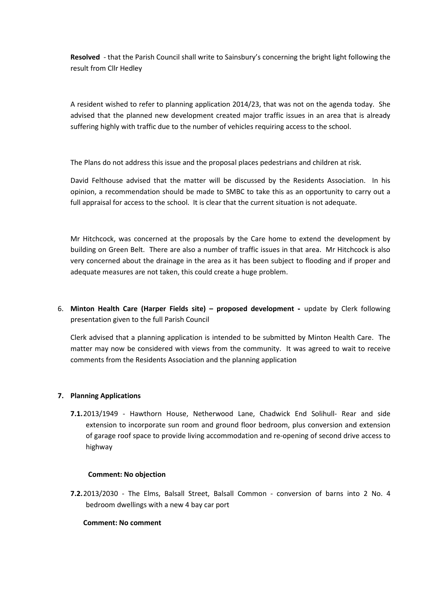Resolved - that the Parish Council shall write to Sainsbury's concerning the bright light following the result from Cllr Hedley

A resident wished to refer to planning application 2014/23, that was not on the agenda today. She advised that the planned new development created major traffic issues in an area that is already suffering highly with traffic due to the number of vehicles requiring access to the school.

The Plans do not address this issue and the proposal places pedestrians and children at risk.

David Felthouse advised that the matter will be discussed by the Residents Association. In his opinion, a recommendation should be made to SMBC to take this as an opportunity to carry out a full appraisal for access to the school. It is clear that the current situation is not adequate.

Mr Hitchcock, was concerned at the proposals by the Care home to extend the development by building on Green Belt. There are also a number of traffic issues in that area. Mr Hitchcock is also very concerned about the drainage in the area as it has been subject to flooding and if proper and adequate measures are not taken, this could create a huge problem.

6. Minton Health Care (Harper Fields site) – proposed development **-** update by Clerk following presentation given to the full Parish Council

Clerk advised that a planning application is intended to be submitted by Minton Health Care. The matter may now be considered with views from the community. It was agreed to wait to receive comments from the Residents Association and the planning application

## 7. Planning Applications

7.1.2013/1949 - Hawthorn House, Netherwood Lane, Chadwick End Solihull- Rear and side extension to incorporate sun room and ground floor bedroom, plus conversion and extension of garage roof space to provide living accommodation and re-opening of second drive access to highway

## Comment: No objection

7.2.2013/2030 - The Elms, Balsall Street, Balsall Common - conversion of barns into 2 No. 4 bedroom dwellings with a new 4 bay car port

## Comment: No comment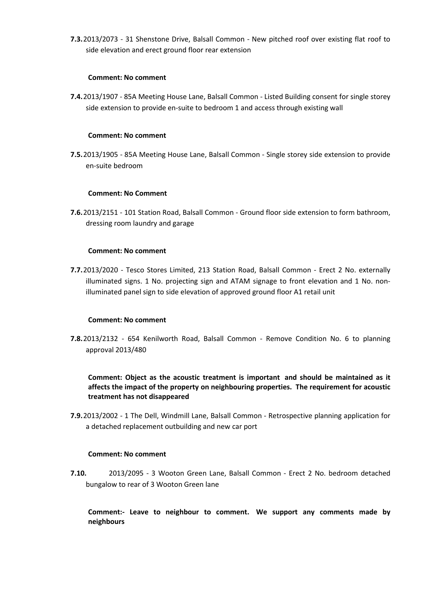7.3.2013/2073 - 31 Shenstone Drive, Balsall Common - New pitched roof over existing flat roof to side elevation and erect ground floor rear extension

## Comment: No comment

7.4.2013/1907 - 85A Meeting House Lane, Balsall Common - Listed Building consent for single storey side extension to provide en-suite to bedroom 1 and access through existing wall

### Comment: No comment

7.5.2013/1905 - 85A Meeting House Lane, Balsall Common - Single storey side extension to provide en-suite bedroom

### Comment: No Comment

7.6.2013/2151 - 101 Station Road, Balsall Common - Ground floor side extension to form bathroom, dressing room laundry and garage

### Comment: No comment

7.7.2013/2020 - Tesco Stores Limited, 213 Station Road, Balsall Common - Erect 2 No. externally illuminated signs. 1 No. projecting sign and ATAM signage to front elevation and 1 No. nonilluminated panel sign to side elevation of approved ground floor A1 retail unit

#### Comment: No comment

7.8.2013/2132 - 654 Kenilworth Road, Balsall Common - Remove Condition No. 6 to planning approval 2013/480

Comment: Object as the acoustic treatment is important and should be maintained as it affects the impact of the property on neighbouring properties. The requirement for acoustic treatment has not disappeared

7.9.2013/2002 - 1 The Dell, Windmill Lane, Balsall Common - Retrospective planning application for a detached replacement outbuilding and new car port

#### Comment: No comment

7.10. 2013/2095 - 3 Wooton Green Lane, Balsall Common - Erect 2 No. bedroom detached bungalow to rear of 3 Wooton Green lane

Comment:- Leave to neighbour to comment. We support any comments made by neighbours